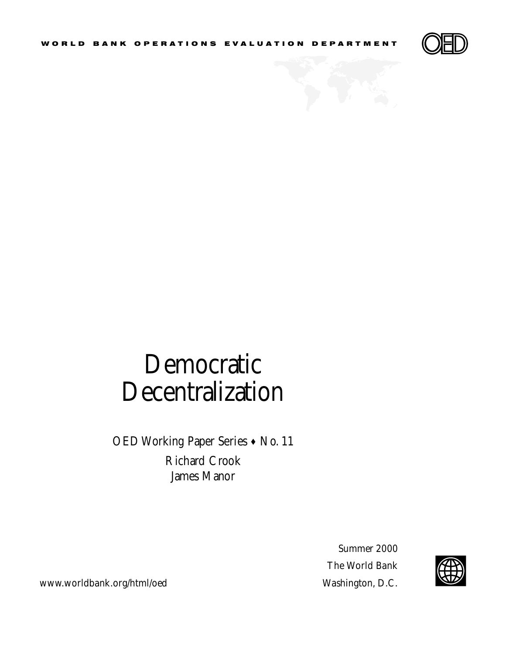

## Democratic Decentralization

OED Working Paper Series • No. 11 Richard Crook James Manor

> Summer 2000 The World Bank



www.worldbank.org/html/oed Washington, D.C.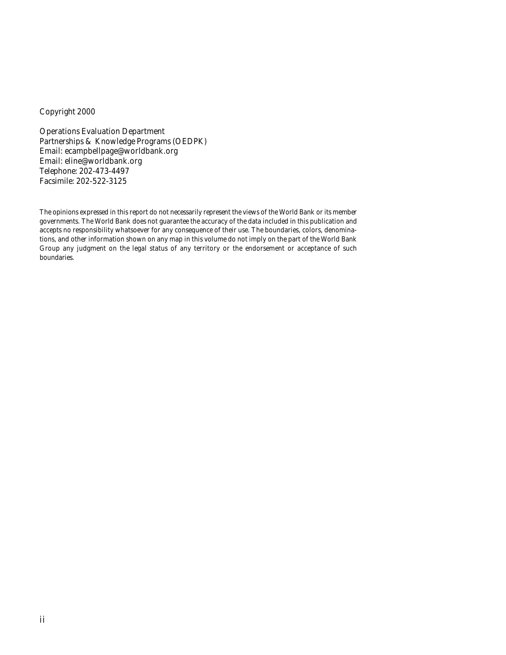### Copyright 2000

Operations Evaluation Department Partnerships & Knowledge Programs (OEDPK) Email: ecampbellpage@worldbank.org Email: eline@worldbank.org Telephone: 202-473-4497 Facsimile: 202-522-3125

The opinions expressed in this report do not necessarily represent the views of the World Bank or its member governments. The World Bank does not guarantee the accuracy of the data included in this publication and accepts no responsibility whatsoever for any consequence of their use. The boundaries, colors, denominations, and other information shown on any map in this volume do not imply on the part of the World Bank Group any judgment on the legal status of any territory or the endorsement or acceptance of such boundaries.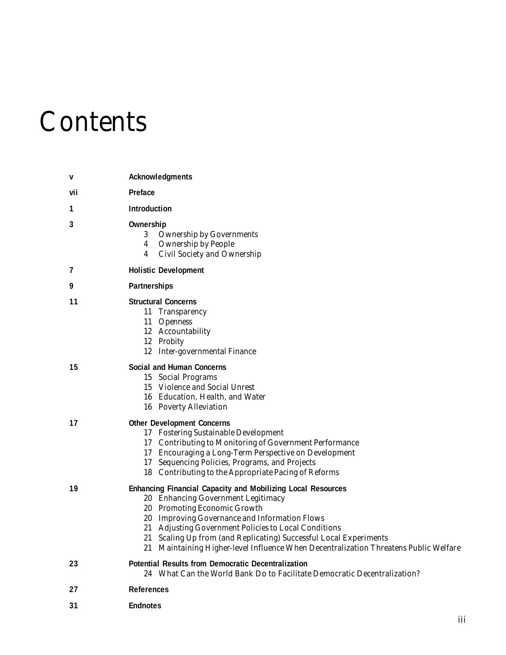# **Contents**

| V   | Acknowledgments                                                                                                                                                                                                                                                                                                                                                                                                |
|-----|----------------------------------------------------------------------------------------------------------------------------------------------------------------------------------------------------------------------------------------------------------------------------------------------------------------------------------------------------------------------------------------------------------------|
| vii | Preface                                                                                                                                                                                                                                                                                                                                                                                                        |
| 1   | <b>Introduction</b>                                                                                                                                                                                                                                                                                                                                                                                            |
| 3   | Ownership<br><b>Ownership by Governments</b><br>3<br><b>Ownership by People</b><br>4<br>Civil Society and Ownership<br>4                                                                                                                                                                                                                                                                                       |
| 7   | <b>Holistic Development</b>                                                                                                                                                                                                                                                                                                                                                                                    |
| 9   | Partnerships                                                                                                                                                                                                                                                                                                                                                                                                   |
| 11  | <b>Structural Concerns</b><br>11 Transparency<br>11 Openness<br>12 Accountability<br>12 Probity<br>12 Inter-governmental Finance                                                                                                                                                                                                                                                                               |
| 15  | Social and Human Concerns<br>15 Social Programs<br>15 Violence and Social Unrest<br>16 Education, Health, and Water<br>16 Poverty Alleviation                                                                                                                                                                                                                                                                  |
| 17  | <b>Other Development Concerns</b><br>17 Fostering Sustainable Development<br>17 Contributing to Monitoring of Government Performance<br>17 Encouraging a Long-Term Perspective on Development<br>17 Sequencing Policies, Programs, and Projects<br>18 Contributing to the Appropriate Pacing of Reforms                                                                                                        |
| 19  | <b>Enhancing Financial Capacity and Mobilizing Local Resources</b><br>20 Enhancing Government Legitimacy<br>20 Promoting Economic Growth<br>20 Improving Governance and Information Flows<br>21 Adjusting Government Policies to Local Conditions<br>21 Scaling Up from (and Replicating) Successful Local Experiments<br>21 Maintaining Higher-level Influence When Decentralization Threatens Public Welfare |
| 23  | <b>Potential Results from Democratic Decentralization</b><br>24 What Can the World Bank Do to Facilitate Democratic Decentralization?                                                                                                                                                                                                                                                                          |
| 27  | References                                                                                                                                                                                                                                                                                                                                                                                                     |
| 31  | <b>Endnotes</b>                                                                                                                                                                                                                                                                                                                                                                                                |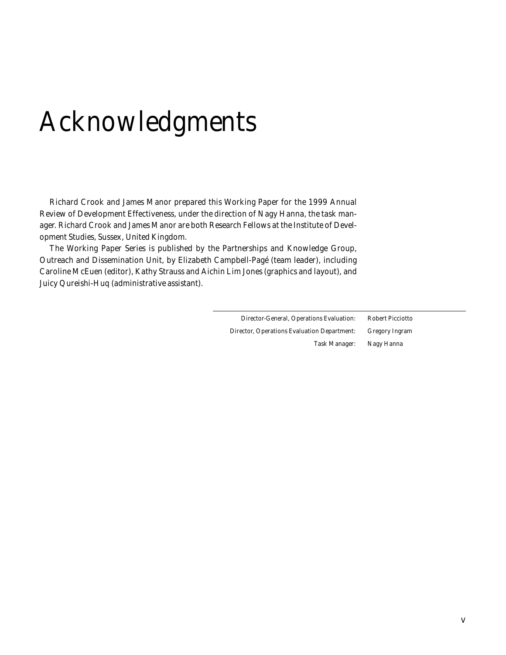# Acknowledgments

Richard Crook and James Manor prepared this Working Paper for the 1999 Annual Review of Development Effectiveness, under the direction of Nagy Hanna, the task manager. Richard Crook and James Manor are both Research Fellows at the Institute of Development Studies, Sussex, United Kingdom.

The Working Paper Series is published by the Partnerships and Knowledge Group, Outreach and Dissemination Unit, by Elizabeth Campbell-Pagé (team leader), including Caroline McEuen (editor), Kathy Strauss and Aichin Lim Jones (graphics and layout), and Juicy Qureishi-Huq (administrative assistant).

> Director-General, Operations Evaluation: *Robert Picciotto* Director, Operations Evaluation Department: *Gregory Ingram* Task Manager: *Nagy Hanna*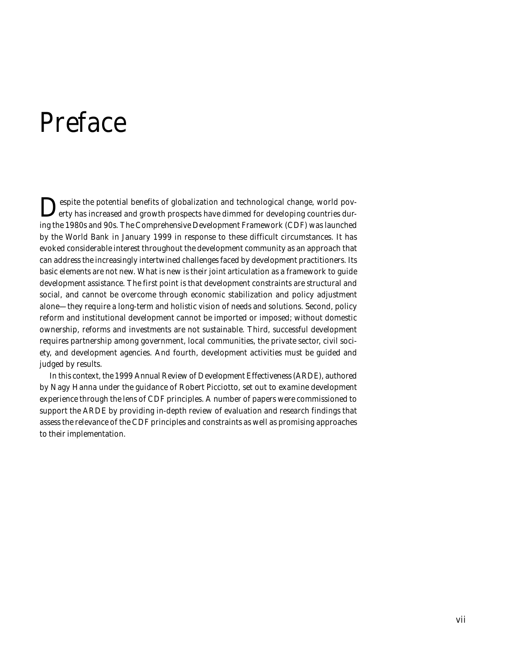## Preface

Despite the potential benefits of globalization and technological change, world pov-erty has increased and growth prospects have dimmed for developing countries during the 1980s and 90s. The Comprehensive Development Framework (CDF) was launched by the World Bank in January 1999 in response to these difficult circumstances. It has evoked considerable interest throughout the development community as an approach that can address the increasingly intertwined challenges faced by development practitioners. Its basic elements are not new. What is new is their joint articulation as a framework to guide development assistance. The first point is that development constraints are structural and social, and cannot be overcome through economic stabilization and policy adjustment alone—they require a long-term and holistic vision of needs and solutions. Second, policy reform and institutional development cannot be imported or imposed; without domestic ownership, reforms and investments are not sustainable. Third, successful development requires partnership among government, local communities, the private sector, civil society, and development agencies. And fourth, development activities must be guided and judged by results.

In this context, the *1999 Annual Review of Development Effectiveness* (ARDE), authored by Nagy Hanna under the guidance of Robert Picciotto, set out to examine development experience through the lens of CDF principles. A number of papers were commissioned to support the ARDE by providing in-depth review of evaluation and research findings that assess the relevance of the CDF principles and constraints as well as promising approaches to their implementation.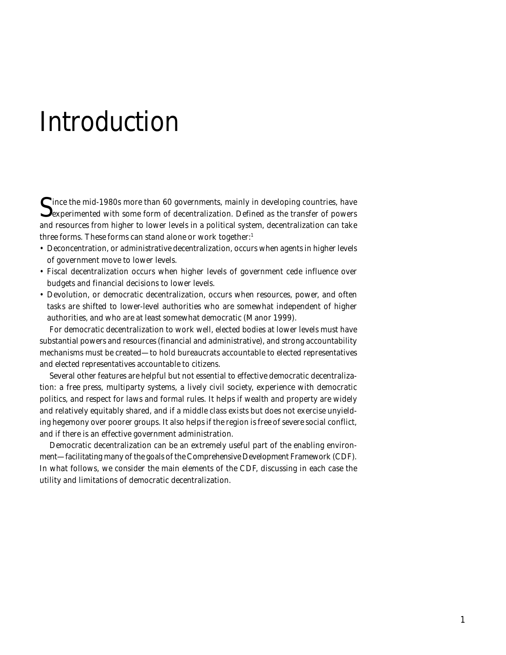## Introduction

Since the mid-1980s more than 60 governments, mainly in developing countries, have<br>experimented with some form of decentralization. Defined as the transfer of powers and resources from higher to lower levels in a political system, decentralization can take three forms. These forms can stand alone or work together:1

- Deconcentration, or administrative decentralization, occurs when agents in higher levels of government move to lower levels.
- Fiscal decentralization occurs when higher levels of government cede influence over budgets and financial decisions to lower levels.
- Devolution, or democratic decentralization, occurs when resources, power, and often tasks are shifted to lower-level authorities who are somewhat independent of higher authorities, and who are at least somewhat democratic (Manor 1999).

For democratic decentralization to work well, elected bodies at lower levels must have substantial powers and resources (financial and administrative), and strong accountability mechanisms must be created—to hold bureaucrats accountable to elected representatives and elected representatives accountable to citizens.

Several other features are helpful but not essential to effective democratic decentralization: a free press, multiparty systems, a lively civil society, experience with democratic politics, and respect for laws and formal rules. It helps if wealth and property are widely and relatively equitably shared, and if a middle class exists but does not exercise unyielding hegemony over poorer groups. It also helps if the region is free of severe social conflict, and if there is an effective government administration.

Democratic decentralization can be an extremely useful part of the enabling environment—facilitating many of the goals of the Comprehensive Development Framework (CDF). In what follows, we consider the main elements of the CDF, discussing in each case the utility and limitations of democratic decentralization.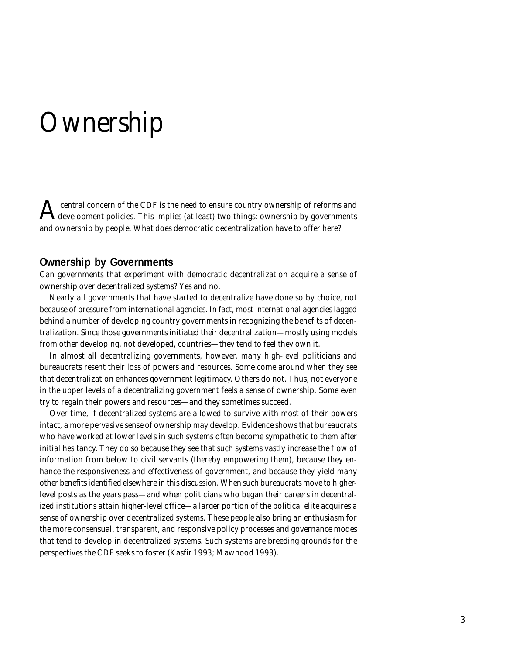## **Ownership**

A central concern of the CDF is the need to ensure country ownership of reforms and development policies. This implies (at least) two things: ownership by governments and ownership by people. What does democratic decentralization have to offer here?

### **Ownership by Governments**

Can governments that experiment with democratic decentralization acquire a sense of ownership over decentralized systems? Yes and no.

Nearly all governments that have started to decentralize have done so by choice, not because of pressure from international agencies. In fact, most international agencies lagged behind a number of developing country governments in recognizing the benefits of decentralization. Since those governments initiated their decentralization—mostly using models from other developing, not developed, countries—they tend to feel they own it.

In almost all decentralizing governments, however, many high-level politicians and bureaucrats resent their loss of powers and resources. Some come around when they see that decentralization enhances government legitimacy. Others do not. Thus, not everyone in the upper levels of a decentralizing government feels a sense of ownership. Some even try to regain their powers and resources—and they sometimes succeed.

Over time, if decentralized systems are allowed to survive with most of their powers intact, a more pervasive sense of ownership may develop. Evidence shows that bureaucrats who have worked at lower levels in such systems often become sympathetic to them after initial hesitancy. They do so because they see that such systems vastly increase the flow of information from below to civil servants (thereby empowering them), because they enhance the responsiveness and effectiveness of government, and because they yield many other benefits identified elsewhere in this discussion. When such bureaucrats move to higherlevel posts as the years pass—and when politicians who began their careers in decentralized institutions attain higher-level office—a larger portion of the political elite acquires a sense of ownership over decentralized systems. These people also bring an enthusiasm for the more consensual, transparent, and responsive policy processes and governance modes that tend to develop in decentralized systems. Such systems are breeding grounds for the perspectives the CDF seeks to foster (Kasfir 1993; Mawhood 1993).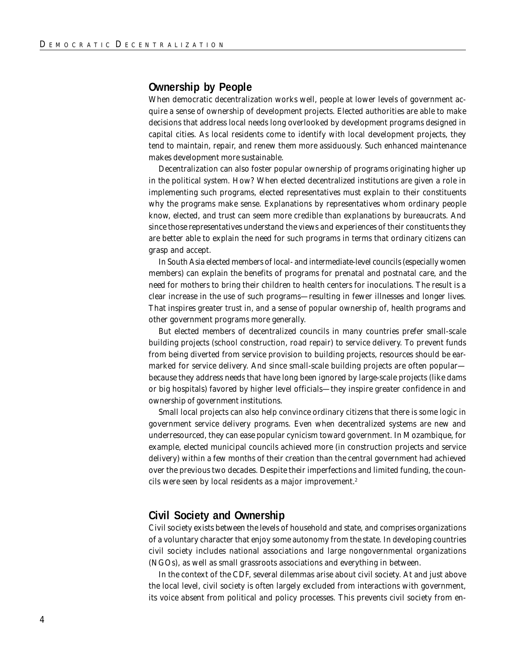#### **Ownership by People**

When democratic decentralization works well, people at lower levels of government acquire a sense of ownership of development projects. Elected authorities are able to make decisions that address local needs long overlooked by development programs designed in capital cities. As local residents come to identify with local development projects, they tend to maintain, repair, and renew them more assiduously. Such enhanced maintenance makes development more sustainable.

Decentralization can also foster popular ownership of programs originating higher up in the political system. How? When elected decentralized institutions are given a role in implementing such programs, elected representatives must explain to their constituents why the programs make sense. Explanations by representatives whom ordinary people know, elected, and trust can seem more credible than explanations by bureaucrats. And since those representatives understand the views and experiences of their constituents they are better able to explain the need for such programs in terms that ordinary citizens can grasp and accept.

In South Asia elected members of local- and intermediate-level councils (especially women members) can explain the benefits of programs for prenatal and postnatal care, and the need for mothers to bring their children to health centers for inoculations. The result is a clear increase in the use of such programs—resulting in fewer illnesses and longer lives. That inspires greater trust in, and a sense of popular ownership of, health programs and other government programs more generally.

But elected members of decentralized councils in many countries prefer small-scale building projects (school construction, road repair) to service delivery. To prevent funds from being diverted from service provision to building projects, resources should be earmarked for service delivery. And since small-scale building projects are often popular because they address needs that have long been ignored by large-scale projects (like dams or big hospitals) favored by higher level officials—they inspire greater confidence in and ownership of government institutions.

Small local projects can also help convince ordinary citizens that there is some logic in government service delivery programs. Even when decentralized systems are new and underresourced, they can ease popular cynicism toward government. In Mozambique, for example, elected municipal councils achieved more (in construction projects and service delivery) within a few months of their creation than the central government had achieved over the previous two decades. Despite their imperfections and limited funding, the councils were seen by local residents as a major improvement.<sup>2</sup>

#### **Civil Society and Ownership**

Civil society exists between the levels of household and state, and comprises organizations of a voluntary character that enjoy some autonomy from the state. In developing countries civil society includes national associations and large nongovernmental organizations (NGOs), as well as small grassroots associations and everything in between.

In the context of the CDF, several dilemmas arise about civil society. At and just above the local level, civil society is often largely excluded from interactions with government, its voice absent from political and policy processes. This prevents civil society from en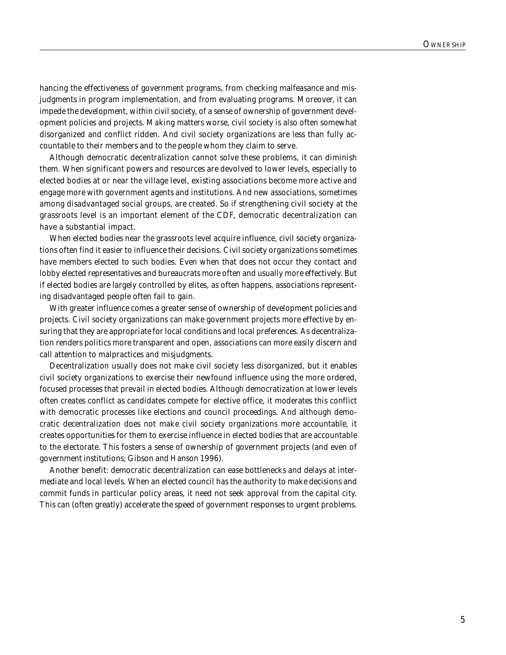hancing the effectiveness of government programs, from checking malfeasance and misjudgments in program implementation, and from evaluating programs. Moreover, it can impede the development, within civil society, of a sense of ownership of government development policies and projects. Making matters worse, civil society is also often somewhat disorganized and conflict ridden. And civil society organizations are less than fully accountable to their members and to the people whom they claim to serve.

Although democratic decentralization cannot solve these problems, it can diminish them. When significant powers and resources are devolved to lower levels, especially to elected bodies at or near the village level, existing associations become more active and engage more with government agents and institutions. And new associations, sometimes among disadvantaged social groups, are created. So if strengthening civil society at the grassroots level is an important element of the CDF, democratic decentralization can have a substantial impact.

When elected bodies near the grassroots level acquire influence, civil society organizations often find it easier to influence their decisions. Civil society organizations sometimes have members elected to such bodies. Even when that does not occur they contact and lobby elected representatives and bureaucrats more often and usually more effectively. But if elected bodies are largely controlled by elites, as often happens, associations representing disadvantaged people often fail to gain.

With greater influence comes a greater sense of ownership of development policies and projects. Civil society organizations can make government projects more effective by ensuring that they are appropriate for local conditions and local preferences. As decentralization renders politics more transparent and open, associations can more easily discern and call attention to malpractices and misjudgments.

Decentralization usually does not make civil society less disorganized, but it enables civil society organizations to exercise their newfound influence using the more ordered, focused processes that prevail in elected bodies. Although democratization at lower levels often creates conflict as candidates compete for elective office, it moderates this conflict with democratic processes like elections and council proceedings. And although democratic decentralization does not make civil society organizations more accountable, it creates opportunities for them to exercise influence in elected bodies that are accountable to the electorate. This fosters a sense of ownership of government projects (and even of government institutions; Gibson and Hanson 1996).

Another benefit: democratic decentralization can ease bottlenecks and delays at intermediate and local levels. When an elected council has the authority to make decisions and commit funds in particular policy areas, it need not seek approval from the capital city. This can (often greatly) accelerate the speed of government responses to urgent problems.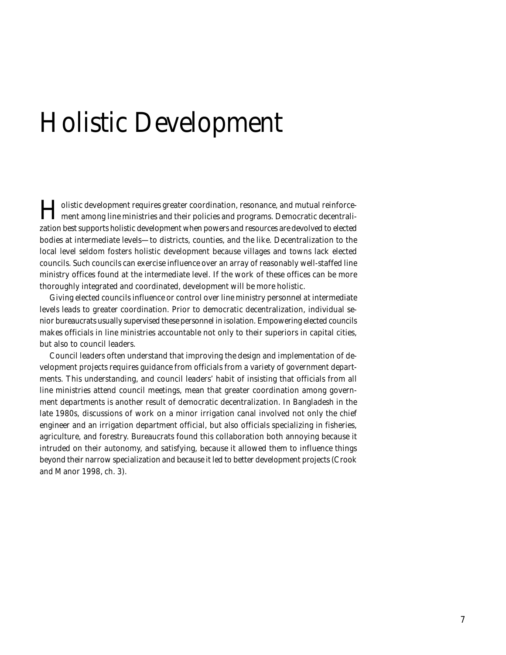## Holistic Development

Holistic development requires greater coordination, resonance, and mutual reinforce-ment among line ministries and their policies and programs. Democratic decentralization best supports holistic development when powers and resources are devolved to elected bodies at intermediate levels—to districts, counties, and the like. Decentralization to the local level seldom fosters holistic development because villages and towns lack elected councils. Such councils can exercise influence over an array of reasonably well-staffed line ministry offices found at the intermediate level. If the work of these offices can be more thoroughly integrated and coordinated, development will be more holistic.

Giving elected councils influence or control over line ministry personnel at intermediate levels leads to greater coordination. Prior to democratic decentralization, individual senior bureaucrats usually supervised these personnel in isolation. Empowering elected councils makes officials in line ministries accountable not only to their superiors in capital cities, but also to council leaders.

Council leaders often understand that improving the design and implementation of development projects requires guidance from officials from a variety of government departments. This understanding, and council leaders' habit of insisting that officials from all line ministries attend council meetings, mean that greater coordination among government departments is another result of democratic decentralization. In Bangladesh in the late 1980s, discussions of work on a minor irrigation canal involved not only the chief engineer and an irrigation department official, but also officials specializing in fisheries, agriculture, and forestry. Bureaucrats found this collaboration both annoying because it intruded on their autonomy, and satisfying, because it allowed them to influence things beyond their narrow specialization and because it led to better development projects (Crook and Manor 1998, ch. 3).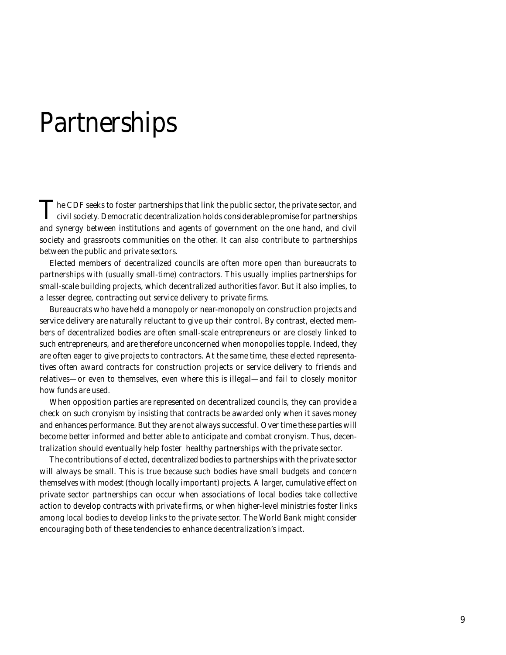## **Partnerships**

The CDF seeks to foster partnerships that link the public sector, the private sector, and<br>civil society. Democratic decentralization holds considerable promise for partnerships and synergy between institutions and agents of government on the one hand, and civil society and grassroots communities on the other. It can also contribute to partnerships between the public and private sectors.

Elected members of decentralized councils are often more open than bureaucrats to partnerships with (usually small-time) contractors. This usually implies partnerships for small-scale building projects, which decentralized authorities favor. But it also implies, to a lesser degree, contracting out service delivery to private firms.

Bureaucrats who have held a monopoly or near-monopoly on construction projects and service delivery are naturally reluctant to give up their control. By contrast, elected members of decentralized bodies are often small-scale entrepreneurs or are closely linked to such entrepreneurs, and are therefore unconcerned when monopolies topple. Indeed, they are often eager to give projects to contractors. At the same time, these elected representatives often award contracts for construction projects or service delivery to friends and relatives—or even to themselves, even where this is illegal—and fail to closely monitor how funds are used.

When opposition parties are represented on decentralized councils, they can provide a check on such cronyism by insisting that contracts be awarded only when it saves money and enhances performance. But they are not always successful. Over time these parties will become better informed and better able to anticipate and combat cronyism. Thus, decentralization should eventually help foster healthy partnerships with the private sector.

The contributions of elected, decentralized bodies to partnerships with the private sector will always be small. This is true because such bodies have small budgets and concern themselves with modest (though locally important) projects. A larger, cumulative effect on private sector partnerships can occur when associations of local bodies take collective action to develop contracts with private firms, or when higher-level ministries foster links among local bodies to develop links to the private sector. The World Bank might consider encouraging both of these tendencies to enhance decentralization's impact.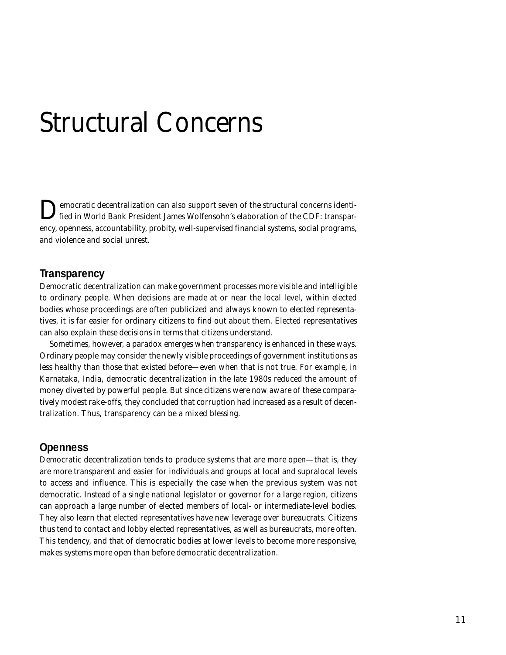## Structural Concerns

Democratic decentralization can also support seven of the structural concerns identi-fied in World Bank President James Wolfensohn's elaboration of the CDF: transparency, openness, accountability, probity, well-supervised financial systems, social programs, and violence and social unrest.

#### **Transparency**

Democratic decentralization can make government processes more visible and intelligible to ordinary people. When decisions are made at or near the local level, within elected bodies whose proceedings are often publicized and always known to elected representatives, it is far easier for ordinary citizens to find out about them. Elected representatives can also explain these decisions in terms that citizens understand.

Sometimes, however, a paradox emerges when transparency is enhanced in these ways. Ordinary people may consider the newly visible proceedings of government institutions as less healthy than those that existed before—even when that is not true. For example, in Karnataka, India, democratic decentralization in the late 1980s reduced the amount of money diverted by powerful people. But since citizens were now aware of these comparatively modest rake-offs, they concluded that corruption had increased as a result of decentralization. Thus, transparency can be a mixed blessing.

#### **Openness**

Democratic decentralization tends to produce systems that are more open—that is, they are more transparent and easier for individuals and groups at local and supralocal levels to access and influence. This is especially the case when the previous system was not democratic. Instead of a single national legislator or governor for a large region, citizens can approach a large number of elected members of local- or intermediate-level bodies. They also learn that elected representatives have new leverage over bureaucrats. Citizens thus tend to contact and lobby elected representatives, as well as bureaucrats, more often. This tendency, and that of democratic bodies at lower levels to become more responsive, makes systems more open than before democratic decentralization.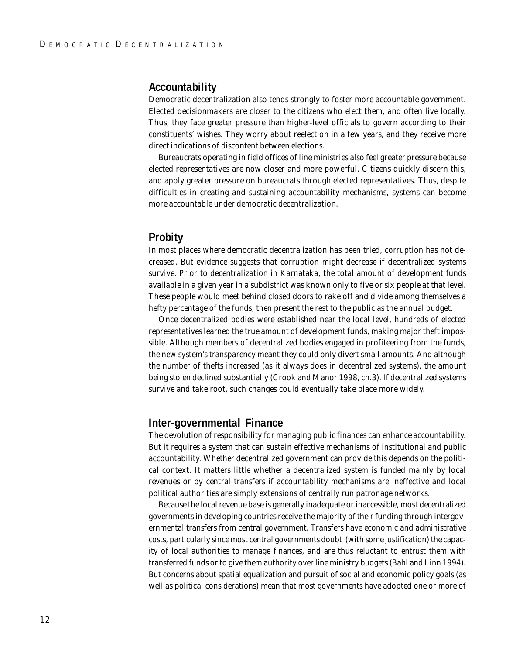#### **Accountability**

Democratic decentralization also tends strongly to foster more accountable government. Elected decisionmakers are closer to the citizens who elect them, and often live locally. Thus, they face greater pressure than higher-level officials to govern according to their constituents' wishes. They worry about reelection in a few years, and they receive more direct indications of discontent between elections.

Bureaucrats operating in field offices of line ministries also feel greater pressure because elected representatives are now closer and more powerful. Citizens quickly discern this, and apply greater pressure on bureaucrats through elected representatives. Thus, despite difficulties in creating and sustaining accountability mechanisms, systems can become more accountable under democratic decentralization.

#### **Probity**

In most places where democratic decentralization has been tried, corruption has not decreased. But evidence suggests that corruption might decrease if decentralized systems survive. Prior to decentralization in Karnataka, the total amount of development funds available in a given year in a subdistrict was known only to five or six people at that level. These people would meet behind closed doors to rake off and divide among themselves a hefty percentage of the funds, then present the rest to the public as the annual budget.

Once decentralized bodies were established near the local level, hundreds of elected representatives learned the true amount of development funds, making major theft impossible. Although members of decentralized bodies engaged in profiteering from the funds, the new system's transparency meant they could only divert small amounts. And although the number of thefts increased (as it always does in decentralized systems), the amount being stolen declined substantially (Crook and Manor 1998, ch.3). If decentralized systems survive and take root, such changes could eventually take place more widely.

#### **Inter-governmental Finance**

The devolution of responsibility for managing public finances can enhance accountability. But it requires a system that can sustain effective mechanisms of institutional and public accountability. Whether decentralized government can provide this depends on the political context. It matters little whether a decentralized system is funded mainly by local revenues or by central transfers if accountability mechanisms are ineffective and local political authorities are simply extensions of centrally run patronage networks.

Because the local revenue base is generally inadequate or inaccessible, most decentralized governments in developing countries receive the majority of their funding through intergovernmental transfers from central government. Transfers have economic and administrative costs, particularly since most central governments doubt (with some justification) the capacity of local authorities to manage finances, and are thus reluctant to entrust them with transferred funds or to give them authority over line ministry budgets (Bahl and Linn 1994). But concerns about spatial equalization and pursuit of social and economic policy goals (as well as political considerations) mean that most governments have adopted one or more of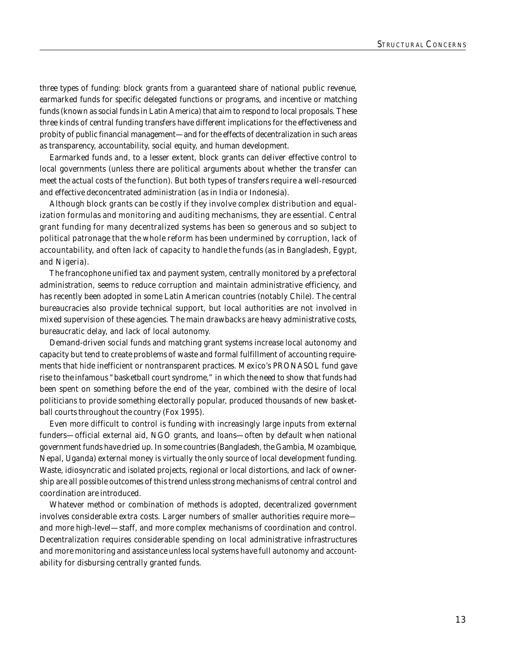three types of funding: block grants from a guaranteed share of national public revenue, earmarked funds for specific delegated functions or programs, and incentive or matching funds (known as social funds in Latin America) that aim to respond to local proposals. These three kinds of central funding transfers have different implications for the effectiveness and probity of public financial management—and for the effects of decentralization in such areas as transparency, accountability, social equity, and human development.

Earmarked funds and, to a lesser extent, block grants can deliver effective control to local governments (unless there are political arguments about whether the transfer can meet the actual costs of the function). But both types of transfers require a well-resourced and effective deconcentrated administration (as in India or Indonesia).

Although block grants can be costly if they involve complex distribution and equalization formulas and monitoring and auditing mechanisms, they are essential. Central grant funding for many decentralized systems has been so generous and so subject to political patronage that the whole reform has been undermined by corruption, lack of accountability, and often lack of capacity to handle the funds (as in Bangladesh, Egypt, and Nigeria).

The francophone unified tax and payment system, centrally monitored by a prefectoral administration, seems to reduce corruption and maintain administrative efficiency, and has recently been adopted in some Latin American countries (notably Chile). The central bureaucracies also provide technical support, but local authorities are not involved in mixed supervision of these agencies. The main drawbacks are heavy administrative costs, bureaucratic delay, and lack of local autonomy.

Demand-driven social funds and matching grant systems increase local autonomy and capacity but tend to create problems of waste and formal fulfillment of accounting requirements that hide inefficient or nontransparent practices. Mexico's PRONASOL fund gave rise to the infamous "basketball court syndrome," in which the need to show that funds had been spent on something before the end of the year, combined with the desire of local politicians to provide something electorally popular, produced thousands of new basketball courts throughout the country (Fox 1995).

Even more difficult to control is funding with increasingly large inputs from external funders—official external aid, NGO grants, and loans—often by default when national government funds have dried up. In some countries (Bangladesh, the Gambia, Mozambique, Nepal, Uganda) external money is virtually the only source of local development funding. Waste, idiosyncratic and isolated projects, regional or local distortions, and lack of ownership are all possible outcomes of this trend unless strong mechanisms of central control and coordination are introduced.

Whatever method or combination of methods is adopted, decentralized government involves considerable extra costs. Larger numbers of smaller authorities require more and more high-level—staff, and more complex mechanisms of coordination and control. Decentralization requires considerable spending on local administrative infrastructures and more monitoring and assistance unless local systems have full autonomy and accountability for disbursing centrally granted funds.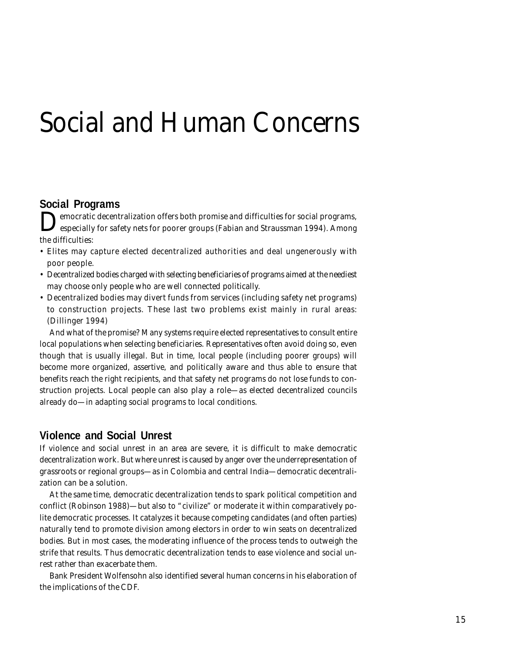## Social and Human Concerns

### **Social Programs**

Democratic decentralization offers both promise and difficulties for social programs, especially for safety nets for poorer groups (Fabian and Straussman 1994). Among the difficulties:

- Elites may capture elected decentralized authorities and deal ungenerously with poor people.
- Decentralized bodies charged with selecting beneficiaries of programs aimed at the neediest may choose only people who are well connected politically.
- Decentralized bodies may divert funds from services (including safety net programs) to construction projects. These last two problems exist mainly in rural areas: (Dillinger 1994)

And what of the promise? Many systems require elected representatives to consult entire local populations when selecting beneficiaries. Representatives often avoid doing so, even though that is usually illegal. But in time, local people (including poorer groups) will become more organized, assertive, and politically aware and thus able to ensure that benefits reach the right recipients, and that safety net programs do not lose funds to construction projects. Local people can also play a role—as elected decentralized councils already do—in adapting social programs to local conditions.

#### **Violence and Social Unrest**

If violence and social unrest in an area are severe, it is difficult to make democratic decentralization work. But where unrest is caused by anger over the underrepresentation of grassroots or regional groups—as in Colombia and central India—democratic decentralization can be a solution.

At the same time, democratic decentralization tends to spark political competition and conflict (Robinson 1988)—but also to "civilize" or moderate it within comparatively polite democratic processes. It catalyzes it because competing candidates (and often parties) naturally tend to promote division among electors in order to win seats on decentralized bodies. But in most cases, the moderating influence of the process tends to outweigh the strife that results. Thus democratic decentralization tends to ease violence and social unrest rather than exacerbate them.

Bank President Wolfensohn also identified several human concerns in his elaboration of the implications of the CDF.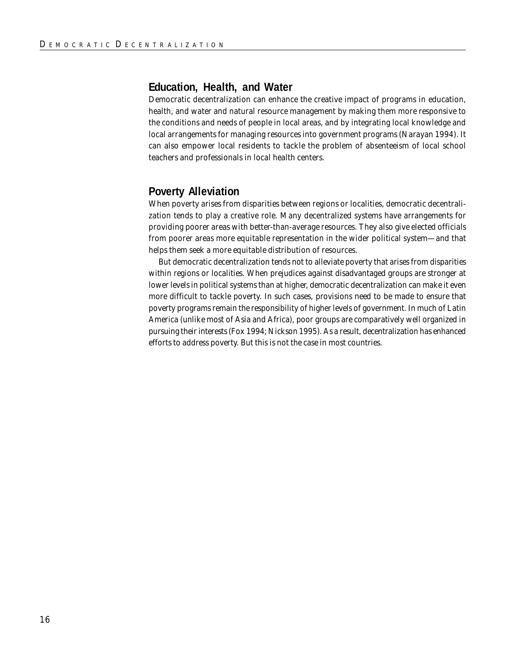#### **Education, Health, and Water**

Democratic decentralization can enhance the creative impact of programs in education, health, and water and natural resource management by making them more responsive to the conditions and needs of people in local areas, and by integrating local knowledge and local arrangements for managing resources into government programs (Narayan 1994). It can also empower local residents to tackle the problem of absenteeism of local school teachers and professionals in local health centers.

### **Poverty Alleviation**

When poverty arises from disparities between regions or localities, democratic decentralization tends to play a creative role. Many decentralized systems have arrangements for providing poorer areas with better-than-average resources. They also give elected officials from poorer areas more equitable representation in the wider political system—and that helps them seek a more equitable distribution of resources.

But democratic decentralization tends not to alleviate poverty that arises from disparities within regions or localities. When prejudices against disadvantaged groups are stronger at lower levels in political systems than at higher, democratic decentralization can make it even more difficult to tackle poverty. In such cases, provisions need to be made to ensure that poverty programs remain the responsibility of higher levels of government. In much of Latin America (unlike most of Asia and Africa), poor groups are comparatively well organized in pursuing their interests (Fox 1994; Nickson 1995). As a result, decentralization has enhanced efforts to address poverty. But this is not the case in most countries.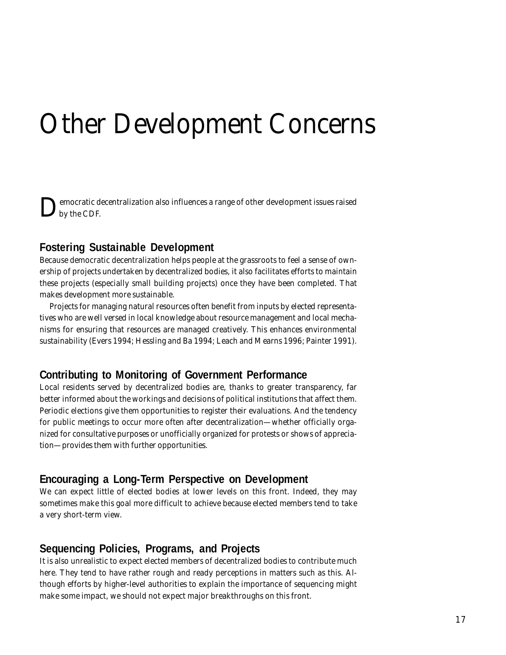# Other Development Concerns

Democratic decentralization also influences a range of other development issues raised by the CDF.

### **Fostering Sustainable Development**

Because democratic decentralization helps people at the grassroots to feel a sense of ownership of projects undertaken by decentralized bodies, it also facilitates efforts to maintain these projects (especially small building projects) once they have been completed. That makes development more sustainable.

Projects for managing natural resources often benefit from inputs by elected representatives who are well versed in local knowledge about resource management and local mechanisms for ensuring that resources are managed creatively. This enhances environmental sustainability (Evers 1994; Hessling and Ba 1994; Leach and Mearns 1996; Painter 1991).

### **Contributing to Monitoring of Government Performance**

Local residents served by decentralized bodies are, thanks to greater transparency, far better informed about the workings and decisions of political institutions that affect them. Periodic elections give them opportunities to register their evaluations. And the tendency for public meetings to occur more often after decentralization—whether officially organized for consultative purposes or unofficially organized for protests or shows of appreciation—provides them with further opportunities.

### **Encouraging a Long-Term Perspective on Development**

We can expect little of elected bodies at lower levels on this front. Indeed, they may sometimes make this goal more difficult to achieve because elected members tend to take a very short-term view.

### **Sequencing Policies, Programs, and Projects**

It is also unrealistic to expect elected members of decentralized bodies to contribute much here. They tend to have rather rough and ready perceptions in matters such as this. Although efforts by higher-level authorities to explain the importance of sequencing might make some impact, we should not expect major breakthroughs on this front.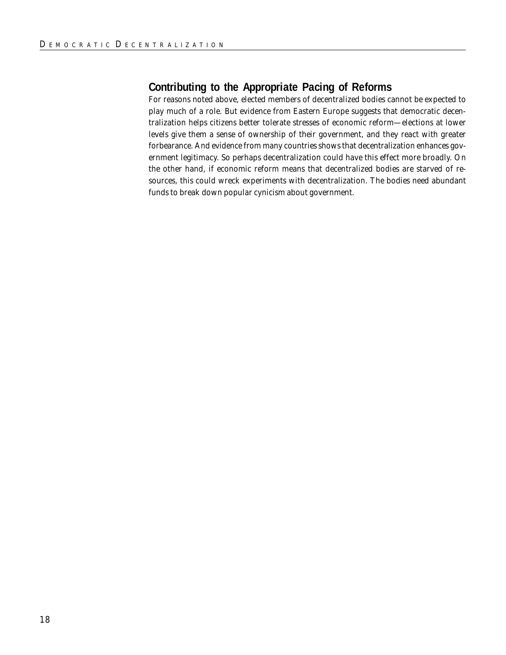### **Contributing to the Appropriate Pacing of Reforms**

For reasons noted above, elected members of decentralized bodies cannot be expected to play much of a role. But evidence from Eastern Europe suggests that democratic decentralization helps citizens better tolerate stresses of economic reform—elections at lower levels give them a sense of ownership of their government, and they react with greater forbearance. And evidence from many countries shows that decentralization enhances government legitimacy. So perhaps decentralization could have this effect more broadly. On the other hand, if economic reform means that decentralized bodies are starved of resources, this could wreck experiments with decentralization. The bodies need abundant funds to break down popular cynicism about government.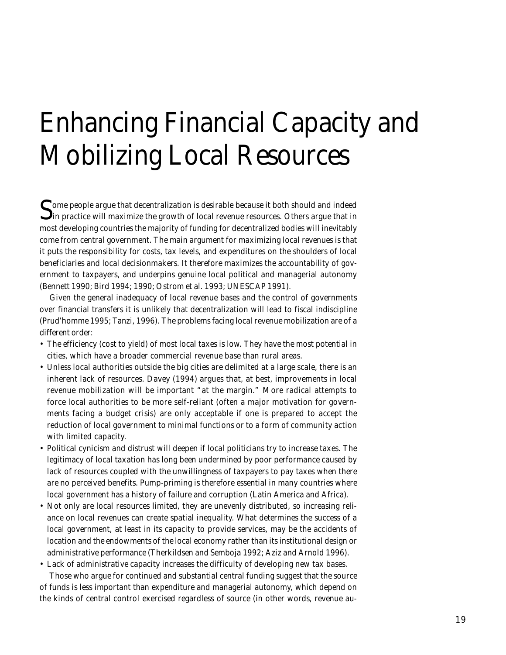# Enhancing Financial Capacity and Mobilizing Local Resources

Some people argue that decentralization is desirable because it both should and indeed  $\Box$  in practice will maximize the growth of local revenue resources. Others argue that in most developing countries the majority of funding for decentralized bodies will inevitably come from central government. The main argument for maximizing local revenues is that it puts the responsibility for costs, tax levels, and expenditures on the shoulders of local beneficiaries and local decisionmakers. It therefore maximizes the accountability of government to taxpayers, and underpins genuine local political and managerial autonomy (Bennett 1990; Bird 1994; 1990; Ostrom et al. 1993; UNESCAP 1991).

Given the general inadequacy of local revenue bases and the control of governments over financial transfers it is unlikely that decentralization will lead to fiscal indiscipline (Prud'homme 1995; Tanzi, 1996). The problems facing local revenue mobilization are of a different order:

- The efficiency (cost to yield) of most local taxes is low. They have the most potential in cities, which have a broader commercial revenue base than rural areas.
- Unless local authorities outside the big cities are delimited at a large scale, there is an inherent lack of resources. Davey (1994) argues that, at best, improvements in local revenue mobilization will be important "at the margin." More radical attempts to force local authorities to be more self-reliant (often a major motivation for governments facing a budget crisis) are only acceptable if one is prepared to accept the reduction of local government to minimal functions or to a form of community action with limited capacity.
- Political cynicism and distrust will deepen if local politicians try to increase taxes. The legitimacy of local taxation has long been undermined by poor performance caused by lack of resources coupled with the unwillingness of taxpayers to pay taxes when there are no perceived benefits. Pump-priming is therefore essential in many countries where local government has a history of failure and corruption (Latin America and Africa).
- Not only are local resources limited, they are unevenly distributed, so increasing reliance on local revenues can create spatial inequality. What determines the success of a local government, at least in its capacity to provide services, may be the accidents of location and the endowments of the local economy rather than its institutional design or administrative performance (Therkildsen and Semboja 1992; Aziz and Arnold 1996).
- Lack of administrative capacity increases the difficulty of developing new tax bases. Those who argue for continued and substantial central funding suggest that the source of funds is less important than expenditure and managerial autonomy, which depend on the kinds of central control exercised regardless of source (in other words, revenue au-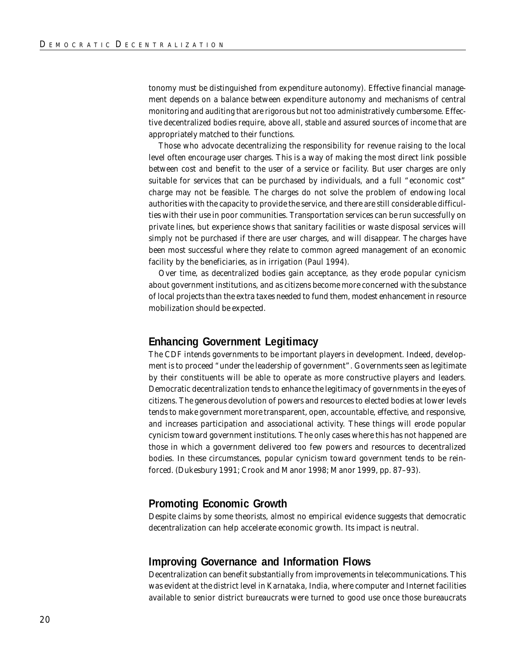tonomy must be distinguished from expenditure autonomy). Effective financial management depends on a balance between expenditure autonomy and mechanisms of central monitoring and auditing that are rigorous but not too administratively cumbersome. Effective decentralized bodies require, above all, stable and assured sources of income that are appropriately matched to their functions.

Those who advocate decentralizing the responsibility for revenue raising to the local level often encourage user charges. This is a way of making the most direct link possible between cost and benefit to the user of a service or facility. But user charges are only suitable for services that can be purchased by individuals, and a full "economic cost" charge may not be feasible. The charges do not solve the problem of endowing local authorities with the capacity to provide the service, and there are still considerable difficulties with their use in poor communities. Transportation services can be run successfully on private lines, but experience shows that sanitary facilities or waste disposal services will simply not be purchased if there are user charges, and will disappear. The charges have been most successful where they relate to common agreed management of an economic facility by the beneficiaries, as in irrigation (Paul 1994).

Over time, as decentralized bodies gain acceptance, as they erode popular cynicism about government institutions, and as citizens become more concerned with the substance of local projects than the extra taxes needed to fund them, modest enhancement in resource mobilization should be expected.

#### **Enhancing Government Legitimacy**

The CDF intends governments to be important players in development. Indeed, development is to proceed "under the leadership of government". Governments seen as legitimate by their constituents will be able to operate as more constructive players and leaders. Democratic decentralization tends to enhance the legitimacy of governments in the eyes of citizens. The generous devolution of powers and resources to elected bodies at lower levels tends to make government more transparent, open, accountable, effective, and responsive, and increases participation and associational activity. These things will erode popular cynicism toward government institutions. The only cases where this has not happened are those in which a government delivered too few powers and resources to decentralized bodies. In these circumstances, popular cynicism toward government tends to be reinforced. (Dukesbury 1991; Crook and Manor 1998; Manor 1999, pp. 87–93).

#### **Promoting Economic Growth**

Despite claims by some theorists, almost no empirical evidence suggests that democratic decentralization can help accelerate economic growth. Its impact is neutral.

#### **Improving Governance and Information Flows**

Decentralization can benefit substantially from improvements in telecommunications. This was evident at the district level in Karnataka, India, where computer and Internet facilities available to senior district bureaucrats were turned to good use once those bureaucrats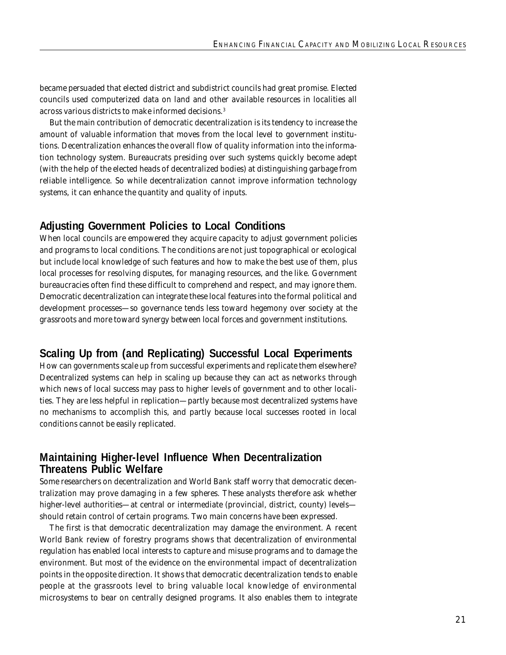became persuaded that elected district and subdistrict councils had great promise. Elected councils used computerized data on land and other available resources in localities all across various districts to make informed decisions.3

But the main contribution of democratic decentralization is its tendency to increase the amount of valuable information that moves from the local level to government institutions. Decentralization enhances the overall flow of quality information into the information technology system. Bureaucrats presiding over such systems quickly become adept (with the help of the elected heads of decentralized bodies) at distinguishing garbage from reliable intelligence. So while decentralization cannot improve information technology systems, it can enhance the quantity and quality of inputs.

### **Adjusting Government Policies to Local Conditions**

When local councils are empowered they acquire capacity to adjust government policies and programs to local conditions. The conditions are not just topographical or ecological but include local knowledge of such features and how to make the best use of them, plus local processes for resolving disputes, for managing resources, and the like. Government bureaucracies often find these difficult to comprehend and respect, and may ignore them. Democratic decentralization can integrate these local features into the formal political and development processes—so governance tends less toward hegemony over society at the grassroots and more toward synergy between local forces and government institutions.

### **Scaling Up from (and Replicating) Successful Local Experiments**

How can governments scale up from successful experiments and replicate them elsewhere? Decentralized systems can help in scaling up because they can act as networks through which news of local success may pass to higher levels of government and to other localities. They are less helpful in replication—partly because most decentralized systems have no mechanisms to accomplish this, and partly because local successes rooted in local conditions cannot be easily replicated.

### **Maintaining Higher-level Influence When Decentralization Threatens Public Welfare**

Some researchers on decentralization and World Bank staff worry that democratic decentralization may prove damaging in a few spheres. These analysts therefore ask whether higher-level authorities—at central or intermediate (provincial, district, county) levels should retain control of certain programs. Two main concerns have been expressed.

The first is that democratic decentralization may damage the environment. A recent World Bank review of forestry programs shows that decentralization of environmental regulation has enabled local interests to capture and misuse programs and to damage the environment. But most of the evidence on the environmental impact of decentralization points in the opposite direction. It shows that democratic decentralization tends to enable people at the grassroots level to bring valuable local knowledge of environmental microsystems to bear on centrally designed programs. It also enables them to integrate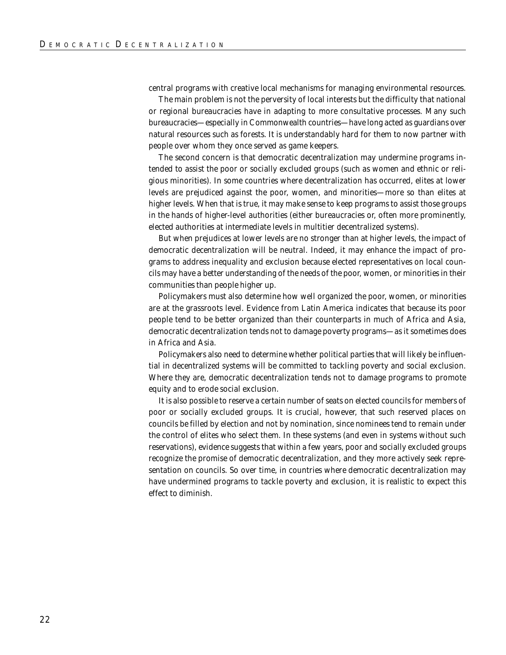central programs with creative local mechanisms for managing environmental resources.

The main problem is not the perversity of local interests but the difficulty that national or regional bureaucracies have in adapting to more consultative processes. Many such bureaucracies—especially in Commonwealth countries—have long acted as guardians over natural resources such as forests. It is understandably hard for them to now partner with people over whom they once served as game keepers.

The second concern is that democratic decentralization may undermine programs intended to assist the poor or socially excluded groups (such as women and ethnic or religious minorities). In some countries where decentralization has occurred, elites at lower levels are prejudiced against the poor, women, and minorities—more so than elites at higher levels. When that is true, it may make sense to keep programs to assist those groups in the hands of higher-level authorities (either bureaucracies or, often more prominently, elected authorities at intermediate levels in multitier decentralized systems).

But when prejudices at lower levels are no stronger than at higher levels, the impact of democratic decentralization will be neutral. Indeed, it may enhance the impact of programs to address inequality and exclusion because elected representatives on local councils may have a better understanding of the needs of the poor, women, or minorities in their communities than people higher up.

Policymakers must also determine how well organized the poor, women, or minorities are at the grassroots level. Evidence from Latin America indicates that because its poor people tend to be better organized than their counterparts in much of Africa and Asia, democratic decentralization tends not to damage poverty programs—as it sometimes does in Africa and Asia.

Policymakers also need to determine whether political parties that will likely be influential in decentralized systems will be committed to tackling poverty and social exclusion. Where they are, democratic decentralization tends not to damage programs to promote equity and to erode social exclusion.

It is also possible to reserve a certain number of seats on elected councils for members of poor or socially excluded groups. It is crucial, however, that such reserved places on councils be filled by election and not by nomination, since nominees tend to remain under the control of elites who select them. In these systems (and even in systems without such reservations), evidence suggests that within a few years, poor and socially excluded groups recognize the promise of democratic decentralization, and they more actively seek representation on councils. So over time, in countries where democratic decentralization may have undermined programs to tackle poverty and exclusion, it is realistic to expect this effect to diminish.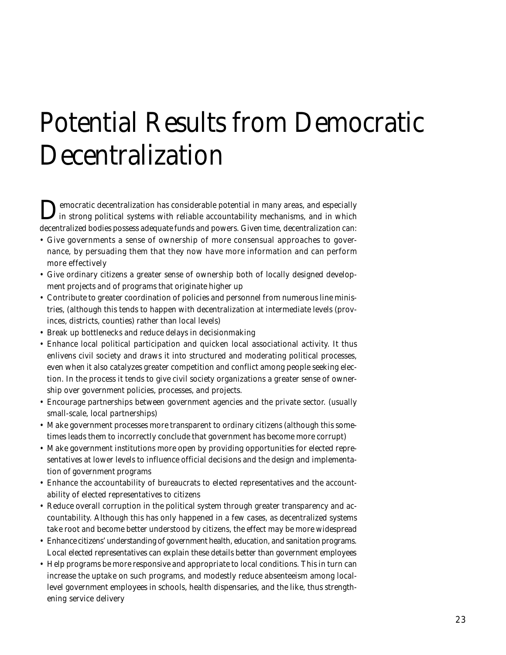# Potential Results from Democratic Decentralization

**D**emocratic decentralization has considerable potential in many areas, and especially in strong political systems with reliable accountability mechanisms, and in which decentralized bodies possess adequate funds and powers. Given time, decentralization can:

- Give governments a sense of ownership of more consensual approaches to governance, by persuading them that they now have more information and can perform more effectively
- Give ordinary citizens a greater sense of ownership both of locally designed development projects and of programs that originate higher up
- Contribute to greater coordination of policies and personnel from numerous line ministries, (although this tends to happen with decentralization at intermediate levels (provinces, districts, counties) rather than local levels)
- Break up bottlenecks and reduce delays in decisionmaking
- Enhance local political participation and quicken local associational activity. It thus enlivens civil society and draws it into structured and moderating political processes, even when it also catalyzes greater competition and conflict among people seeking election. In the process it tends to give civil society organizations a greater sense of ownership over government policies, processes, and projects.
- Encourage partnerships between government agencies and the private sector. (usually small-scale, local partnerships)
- Make government processes more transparent to ordinary citizens (although this sometimes leads them to incorrectly conclude that government has become more corrupt)
- Make government institutions more open by providing opportunities for elected representatives at lower levels to influence official decisions and the design and implementation of government programs
- Enhance the accountability of bureaucrats to elected representatives and the accountability of elected representatives to citizens
- Reduce overall corruption in the political system through greater transparency and accountability. Although this has only happened in a few cases, as decentralized systems take root and become better understood by citizens, the effect may be more widespread
- Enhance citizens' understanding of government health, education, and sanitation programs. Local elected representatives can explain these details better than government employees
- Help programs be more responsive and appropriate to local conditions. This in turn can increase the uptake on such programs, and modestly reduce absenteeism among locallevel government employees in schools, health dispensaries, and the like, thus strengthening service delivery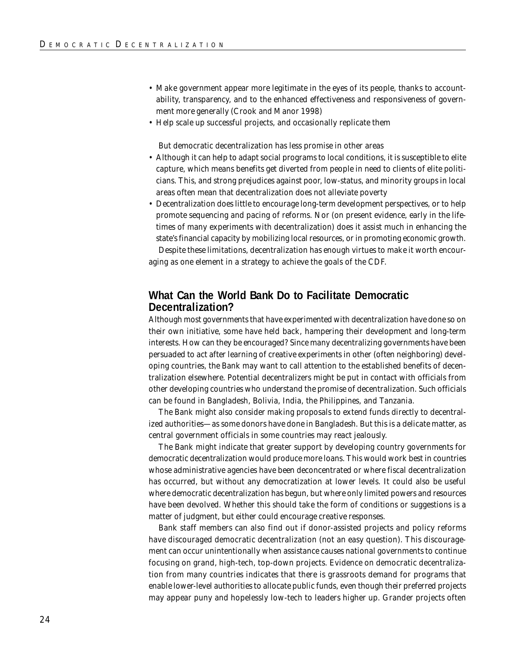- Make government appear more legitimate in the eyes of its people, thanks to accountability, transparency, and to the enhanced effectiveness and responsiveness of government more generally (Crook and Manor 1998)
- Help scale up successful projects, and occasionally replicate them

But democratic decentralization has less promise in other areas

- Although it can help to adapt social programs to local conditions, it is susceptible to elite capture, which means benefits get diverted from people in need to clients of elite politicians. This, and strong prejudices against poor, low-status, and minority groups in local areas often mean that decentralization does not alleviate poverty
- Decentralization does little to encourage long-term development perspectives, or to help promote sequencing and pacing of reforms. Nor (on present evidence, early in the lifetimes of many experiments with decentralization) does it assist much in enhancing the state's financial capacity by mobilizing local resources, or in promoting economic growth.

Despite these limitations, decentralization has enough virtues to make it worth encouraging as one element in a strategy to achieve the goals of the CDF.

#### **What Can the World Bank Do to Facilitate Democratic Decentralization?**

Although most governments that have experimented with decentralization have done so on their own initiative, some have held back, hampering their development and long-term interests. How can they be encouraged? Since many decentralizing governments have been persuaded to act after learning of creative experiments in other (often neighboring) developing countries, the Bank may want to call attention to the established benefits of decentralization elsewhere. Potential decentralizers might be put in contact with officials from other developing countries who understand the promise of decentralization. Such officials can be found in Bangladesh, Bolivia, India, the Philippines, and Tanzania.

The Bank might also consider making proposals to extend funds directly to decentralized authorities—as some donors have done in Bangladesh. But this is a delicate matter, as central government officials in some countries may react jealously.

The Bank might indicate that greater support by developing country governments for democratic decentralization would produce more loans. This would work best in countries whose administrative agencies have been deconcentrated or where fiscal decentralization has occurred, but without any democratization at lower levels. It could also be useful where democratic decentralization has begun, but where only limited powers and resources have been devolved. Whether this should take the form of conditions or suggestions is a matter of judgment, but either could encourage creative responses.

Bank staff members can also find out if donor-assisted projects and policy reforms have discouraged democratic decentralization (not an easy question). This discouragement can occur unintentionally when assistance causes national governments to continue focusing on grand, high-tech, top-down projects. Evidence on democratic decentralization from many countries indicates that there is grassroots demand for programs that enable lower-level authorities to allocate public funds, even though their preferred projects may appear puny and hopelessly low-tech to leaders higher up. Grander projects often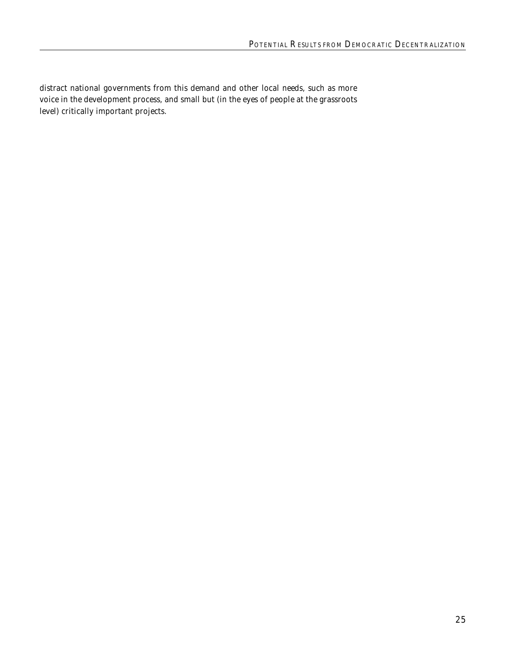distract national governments from this demand and other local needs, such as more voice in the development process, and small but (in the eyes of people at the grassroots level) critically important projects.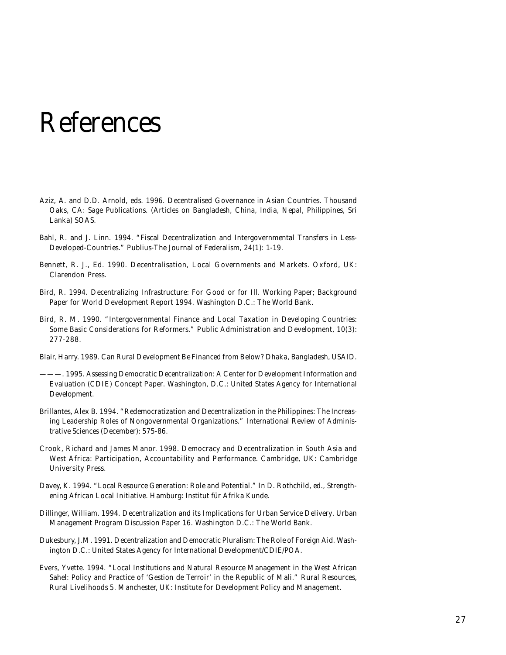## References

- Aziz, A. and D.D. Arnold, eds. 1996. *Decentralised Governance in Asian Countries*. Thousand Oaks, CA: Sage Publications. (Articles on Bangladesh, China, India, Nepal, Philippines, Sri Lanka) SOAS.
- Bahl, R. and J. Linn. 1994. "Fiscal Decentralization and Intergovernmental Transfers in Less-Developed-Countries." *Publius-The Journal of Federalism*, 24(1): 1-19.
- Bennett, R. J., Ed. 1990. *Decentralisation, Local Governments and Markets*. Oxford, UK: Clarendon Press.
- Bird, R. 1994. *Decentralizing Infrastructure: For Good or for Ill.* Working Paper; Background Paper for *World Development Report 1994*. Washington D.C.: The World Bank.
- Bird, R. M. 1990. "Intergovernmental Finance and Local Taxation in Developing Countries: Some Basic Considerations for Reformers." *Public Administration and Development*, 10(3): 277-288.
- Blair, Harry. 1989. *Can Rural Development Be Financed from Below*? Dhaka, Bangladesh, USAID.
- ———. 1995. *Assessing Democratic Decentralization: A Center for Development Information and Evaluation (CDIE) Concept Paper*. Washington, D.C.: United States Agency for International Development.
- Brillantes, Alex B. 1994. "Redemocratization and Decentralization in the Philippines: The Increasing Leadership Roles of Nongovernmental Organizations." *International Review of Administrative Sciences* (December): 575-86.
- Crook, Richard and James Manor. 1998. *Democracy and Decentralization in South Asia and West Africa: Participation, Accountability and Performance.* Cambridge, UK: Cambridge University Press.
- Davey, K. 1994. "Local Resource Generation: Role and Potential." In D. Rothchild, ed., *Strengthening African Local Initiative*. Hamburg: Institut für Afrika Kunde.
- Dillinger, William. 1994. *Decentralization and its Implications for Urban Service Delivery*. Urban Management Program Discussion Paper 16. Washington D.C.: The World Bank.
- Dukesbury, J.M. 1991. *Decentralization and Democratic Pluralism: The Role of Foreign Aid.* Washington D.C.: United States Agency for International Development/CDIE/POA.
- Evers, Yvette. 1994. "Local Institutions and Natural Resource Management in the West African Sahel: Policy and Practice of 'Gestion de Terroir' in the Republic of Mali." Rural Resources, Rural Livelihoods 5. Manchester, UK: Institute for Development Policy and Management.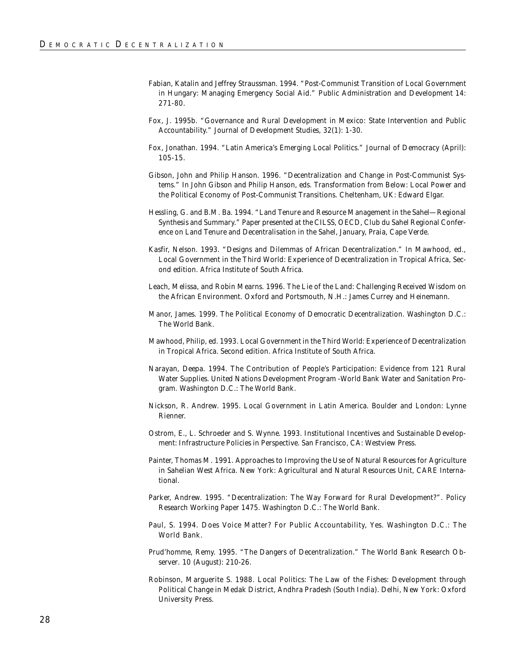- Fabian, Katalin and Jeffrey Straussman. 1994. "Post-Communist Transition of Local Government in Hungary: Managing Emergency Social Aid." *Public Administration and Development* 14: 271-80.
- Fox, J. 1995b. "Governance and Rural Development in Mexico: State Intervention and Public Accountability." *Journal of Development Studies*, 32(1): 1-30.
- Fox, Jonathan. 1994. "Latin America's Emerging Local Politics." *Journal of Democracy* (April): 105-15.
- Gibson, John and Philip Hanson. 1996. "Decentralization and Change in Post-Communist Systems." In John Gibson and Philip Hanson, eds. *Transformation from Below: Local Power and the Political Economy of Post-Communist Transitions.* Cheltenham, UK: Edward Elgar.
- Hessling, G. and B.M. Ba. 1994. "Land Tenure and Resource Management in the Sahel—Regional Synthesis and Summary." Paper presented at the CILSS, OECD, Club du Sahel Regional Conference on Land Tenure and Decentralisation in the Sahel, January, Praia, Cape Verde.
- Kasfir, Nelson. 1993. "Designs and Dilemmas of African Decentralization." In Mawhood, ed., *Local Government in the Third World: Experience of Decentralization in Tropical Africa*, Second edition. Africa Institute of South Africa.
- Leach, Melissa, and Robin Mearns. 1996. *The Lie of the Land: Challenging Received Wisdom on the African Environment*. Oxford and Portsmouth, N.H.: James Currey and Heinemann.
- Manor, James. 1999. *The Political Economy of Democratic Decentralization*. Washington D.C.: The World Bank.
- Mawhood, Philip, ed. 1993. *Local Government in the Third World: Experience of Decentralization in Tropical Africa.* Second edition. Africa Institute of South Africa.
- Narayan, Deepa. 1994. *The Contribution of People's Participation: Evidence from 121 Rural Water Supplies*. United Nations Development Program -World Bank Water and Sanitation Program. Washington D.C.: The World Bank.
- Nickson, R. Andrew. 1995. *Local Government in Latin America*. Boulder and London: Lynne Rienner.
- Ostrom, E., L. Schroeder and S. Wynne. 1993. *Institutional Incentives and Sustainable Development: Infrastructure Policies in Perspective*. San Francisco, CA: Westview Press.
- Painter, Thomas M. 1991. *Approaches to Improving the Use of Natural Resources for Agriculture in Sahelian West Africa.* New York: Agricultural and Natural Resources Unit, CARE International.
- Parker, Andrew. 1995. "Decentralization: The Way Forward for Rural Development?". Policy Research Working Paper 1475. Washington D.C.: The World Bank.
- Paul, S. 1994. *Does Voice Matter? For Public Accountability, Yes*. Washington D.C.: The World Bank.
- Prud'homme, Remy. 1995. "The Dangers of Decentralization." *The World Bank Research Observer*. 10 (August): 210-26.
- Robinson, Marguerite S. 1988. *Local Politics: The Law of the Fishes: Development through Political Change in Medak District, Andhra Pradesh (South India)*. Delhi, New York: Oxford University Press.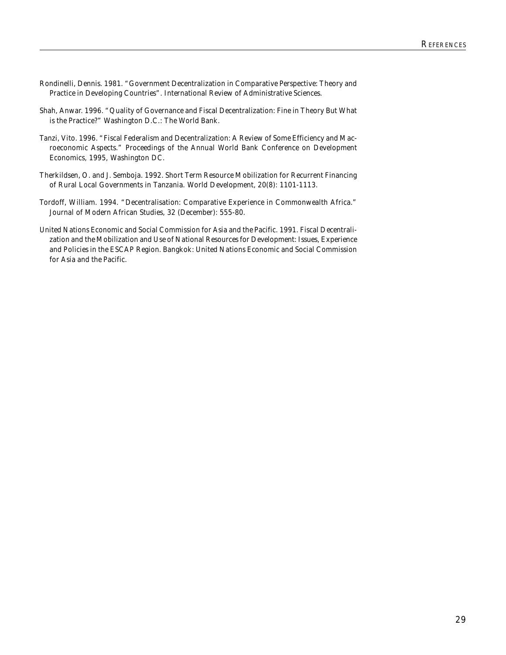- Rondinelli, Dennis. 1981. "Government Decentralization in Comparative Perspective: Theory and Practice in Developing Countries". *International Review of Administrative Sciences*.
- Shah, Anwar. 1996. "Quality of Governance and Fiscal Decentralization: Fine in Theory But What is the Practice?" Washington D.C.: The World Bank.
- Tanzi, Vito. 1996. "Fiscal Federalism and Decentralization: A Review of Some Efficiency and Macroeconomic Aspects." Proceedings of the Annual World Bank Conference on Development Economics, 1995, Washington DC.
- Therkildsen, O. and J. Semboja. 1992. Short Term Resource Mobilization for Recurrent Financing of Rural Local Governments in Tanzania. *World Development, 20*(8): 1101-1113.
- Tordoff, William. 1994. "Decentralisation: Comparative Experience in Commonwealth Africa." *Journal of Modern African Studies*, 32 (December): 555-80.
- United Nations Economic and Social Commission for Asia and the Pacific. 1991. *Fiscal Decentralization and the Mobilization and Use of National Resources for Development: Issues, Experience and Policies in the ESCAP Region*. Bangkok: United Nations Economic and Social Commission for Asia and the Pacific.